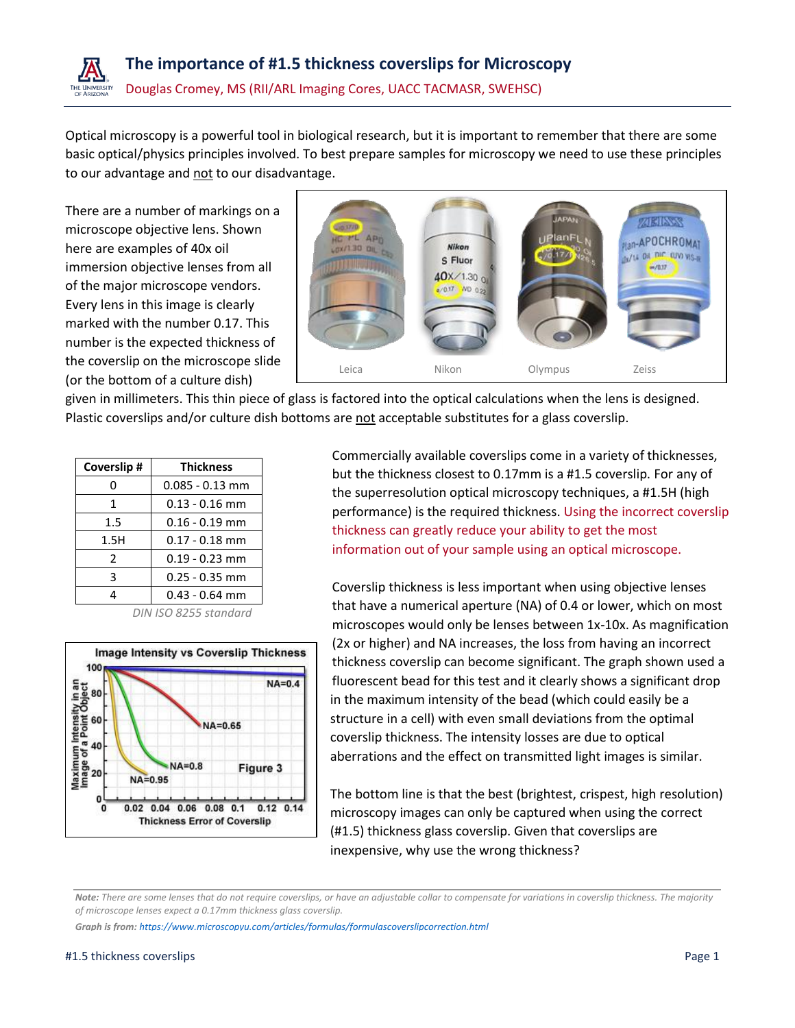

Optical microscopy is a powerful tool in biological research, but it is important to remember that there are some basic optical/physics principles involved. To best prepare samples for microscopy we need to use these principles to our advantage and not to our disadvantage.

There are a number of markings on a microscope objective lens. Shown here are examples of 40x oil immersion objective lenses from all of the major microscope vendors. Every lens in this image is clearly marked with the number 0.17. This number is the expected thickness of the coverslip on the microscope slide (or the bottom of a culture dish)



given in millimeters. This thin piece of glass is factored into the optical calculations when the lens is designed. Plastic coverslips and/or culture dish bottoms are not acceptable substitutes for a glass coverslip.

| Coverslip#            | <b>Thickness</b>  |
|-----------------------|-------------------|
|                       | $0.085 - 0.13$ mm |
| 1                     | $0.13 - 0.16$ mm  |
| $1.5\,$               | $0.16 - 0.19$ mm  |
| 1.5H                  | $0.17 - 0.18$ mm  |
| 2                     | $0.19 - 0.23$ mm  |
| 3                     | $0.25 - 0.35$ mm  |
|                       | $0.43 - 0.64$ mm  |
| $ICOO$ $C2$ $A2$ $A3$ |                   |

*DIN ISO 8255 standard*



Commercially available coverslips come in a variety of thicknesses, but the thickness closest to 0.17mm is a #1.5 coverslip. For any of the superresolution optical microscopy techniques, a #1.5H (high performance) is the required thickness. Using the incorrect coverslip thickness can greatly reduce your ability to get the most information out of your sample using an optical microscope.

Coverslip thickness is less important when using objective lenses that have a numerical aperture (NA) of 0.4 or lower, which on most microscopes would only be lenses between 1x-10x. As magnification (2x or higher) and NA increases, the loss from having an incorrect thickness coverslip can become significant. The graph shown used a fluorescent bead for this test and it clearly shows a significant drop in the maximum intensity of the bead (which could easily be a structure in a cell) with even small deviations from the optimal coverslip thickness. The intensity losses are due to optical aberrations and the effect on transmitted light images is similar.

The bottom line is that the best (brightest, crispest, high resolution) microscopy images can only be captured when using the correct (#1.5) thickness glass coverslip. Given that coverslips are inexpensive, why use the wrong thickness?

*Note: There are some lenses that do not require coverslips, or have an adjustable collar to compensate for variations in coverslip thickness. The majority of microscope lenses expect a 0.17mm thickness glass coverslip.*

*Graph is from: <https://www.microscopyu.com/articles/formulas/formulascoverslipcorrection.html>*